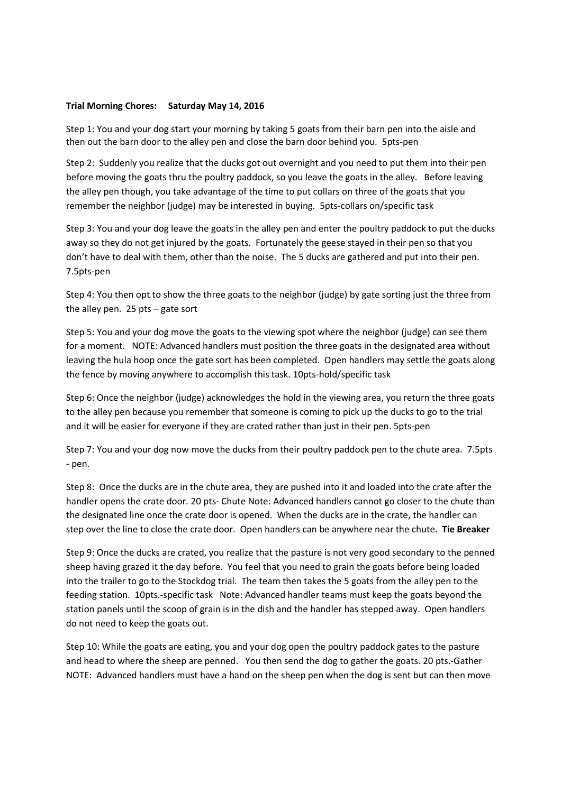## **Trial Morning Chores: Saturday May 14, 2016**

Step 1: You and your dog start your morning by taking 5 goats from their barn pen into the aisle and then out the barn door to the alley pen and close the barn door behind you. 5pts-pen

Step 2: Suddenly you realize that the ducks got out overnight and you need to put them into their pen before moving the goats thru the poultry paddock, so you leave the goats in the alley. Before leaving the alley pen though, you take advantage of the time to put collars on three of the goats that you remember the neighbor (judge) may be interested in buying. 5pts-collars on/specific task

Step 3: You and your dog leave the goats in the alley pen and enter the poultry paddock to put the ducks away so they do not get injured by the goats. Fortunately the geese stayed in their pen so that you don't have to deal with them, other than the noise. The 5 ducks are gathered and put into their pen. 7.5pts-pen

Step 4: You then opt to show the three goats to the neighbor (judge) by gate sorting just the three from the alley pen. 25 pts – gate sort

Step 5: You and your dog move the goats to the viewing spot where the neighbor (judge) can see them for a moment. NOTE: Advanced handlers must position the three goats in the designated area without leaving the hula hoop once the gate sort has been completed. Open handlers may settle the goats along the fence by moving anywhere to accomplish this task. 10pts-hold/specific task

Step 6: Once the neighbor (judge) acknowledges the hold in the viewing area, you return the three goats to the alley pen because you remember that someone is coming to pick up the ducks to go to the trial and it will be easier for everyone if they are crated rather than just in their pen. 5pts-pen

Step 7: You and your dog now move the ducks from their poultry paddock pen to the chute area. 7.5pts - pen.

Step 8: Once the ducks are in the chute area, they are pushed into it and loaded into the crate after the handler opens the crate door. 20 pts- Chute Note: Advanced handlers cannot go closer to the chute than the designated line once the crate door is opened. When the ducks are in the crate, the handler can step over the line to close the crate door. Open handlers can be anywhere near the chute. **Tie Breaker**

Step 9: Once the ducks are crated, you realize that the pasture is not very good secondary to the penned sheep having grazed it the day before. You feel that you need to grain the goats before being loaded into the trailer to go to the Stockdog trial. The team then takes the 5 goats from the alley pen to the feeding station. 10pts.-specific task Note: Advanced handler teams must keep the goats beyond the station panels until the scoop of grain is in the dish and the handler has stepped away. Open handlers do not need to keep the goats out.

Step 10: While the goats are eating, you and your dog open the poultry paddock gates to the pasture and head to where the sheep are penned. You then send the dog to gather the goats. 20 pts.-Gather NOTE: Advanced handlers must have a hand on the sheep pen when the dog is sent but can then move